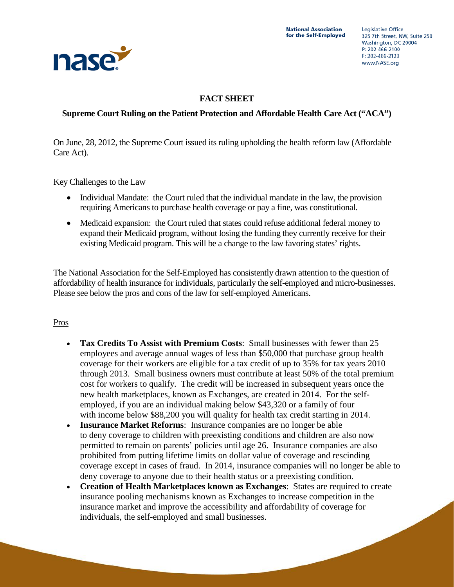

## **FACT SHEET**

## **Supreme Court Ruling on the Patient Protection and Affordable Health Care Act ("ACA")**

On June, 28, 2012, the Supreme Court issued its ruling upholding the health reform law (Affordable Care Act).

Key Challenges to the Law

- Individual Mandate: the Court ruled that the individual mandate in the law, the provision requiring Americans to purchase health coverage or pay a fine, was constitutional.
- Medicaid expansion: the Court ruled that states could refuse additional federal money to expand their Medicaid program, without losing the funding they currently receive for their existing Medicaid program. This will be a change to the law favoring states' rights.

The National Association for the Self-Employed has consistently drawn attention to the question of affordability of health insurance for individuals, particularly the self-employed and micro-businesses. Please see below the pros and cons of the law for self-employed Americans.

## Pros

- **Tax Credits To Assist with Premium Costs**: Small businesses with fewer than 25 employees and average annual wages of less than \$50,000 that purchase group health coverage for their workers are eligible for a tax credit of up to 35% for tax years 2010 through 2013. Small business owners must contribute at least 50% of the total premium cost for workers to qualify. The credit will be increased in subsequent years once the new health marketplaces, known as Exchanges, are created in 2014. For the selfemployed, if you are an individual making below \$43,320 or a family of four with income below \$88,200 you will quality for health tax credit starting in 2014.
- **Insurance Market Reforms**: Insurance companies are no longer be able to deny coverage to children with preexisting conditions and children are also now permitted to remain on parents' policies until age 26. Insurance companies are also prohibited from putting lifetime limits on dollar value of coverage and rescinding coverage except in cases of fraud. In 2014, insurance companies will no longer be able to deny coverage to anyone due to their health status or a preexisting condition.
- **Creation of Health Marketplaces known as Exchanges**: States are required to create insurance pooling mechanisms known as Exchanges to increase competition in the insurance market and improve the accessibility and affordability of coverage for individuals, the self-employed and small businesses.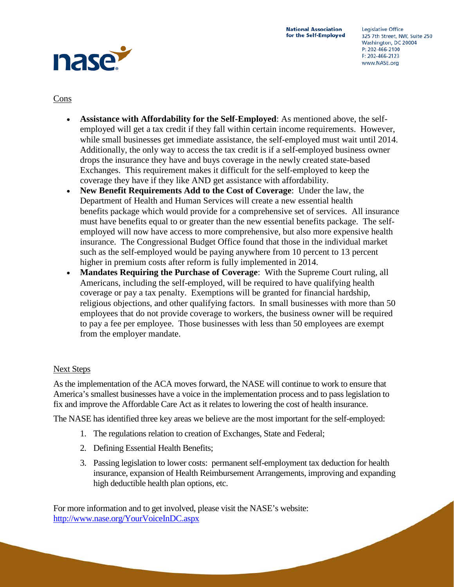

Cons

- **Assistance with Affordability for the Self-Employed**: As mentioned above, the selfemployed will get a tax credit if they fall within certain income requirements. However, while small businesses get immediate assistance, the self-employed must wait until 2014. Additionally, the only way to access the tax credit is if a self-employed business owner drops the insurance they have and buys coverage in the newly created state-based Exchanges. This requirement makes it difficult for the self-employed to keep the coverage they have if they like AND get assistance with affordability.
- **New Benefit Requirements Add to the Cost of Coverage**: Under the law, the Department of Health and Human Services will create a new essential health benefits package which would provide for a comprehensive set of services. All insurance must have benefits equal to or greater than the new essential benefits package. The selfemployed will now have access to more comprehensive, but also more expensive health insurance. The Congressional Budget Office found that those in the individual market such as the self-employed would be paying anywhere from 10 percent to 13 percent higher in premium costs after reform is fully implemented in 2014.
- **Mandates Requiring the Purchase of Coverage**: With the Supreme Court ruling, all Americans, including the self-employed, will be required to have qualifying health coverage or pay a tax penalty. Exemptions will be granted for financial hardship, religious objections, and other qualifying factors. In small businesses with more than 50 employees that do not provide coverage to workers, the business owner will be required to pay a fee per employee. Those businesses with less than 50 employees are exempt from the employer mandate.

## Next Steps

As the implementation of the ACA moves forward, the NASE will continue to work to ensure that America's smallest businesses have a voice in the implementation process and to pass legislation to fix and improve the Affordable Care Act as it relates to lowering the cost of health insurance.

The NASE has identified three key areas we believe are the most important for the self-employed:

- 1. The regulations relation to creation of Exchanges, State and Federal;
- 2. Defining Essential Health Benefits;
- 3. Passing legislation to lower costs: permanent self-employment tax deduction for health insurance, expansion of Health Reimbursement Arrangements, improving and expanding high deductible health plan options, etc.

For more information and to get involved, please visit the NASE's website: <http://www.nase.org/YourVoiceInDC.aspx>